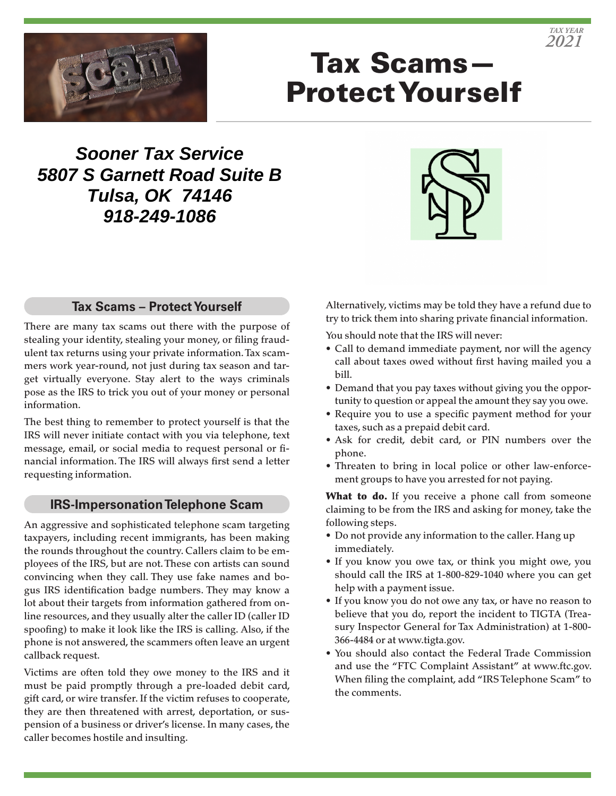

# Tax Scams— Protect Yourself

**Sooner Tax Service 5807 S Garnett Road Suite B Tulsa, OK 74146 918-249-1086**



### **Tax Scams – Protect Yourself**

There are many tax scams out there with the purpose of stealing your identity, stealing your money, or filing fraudulent tax returns using your private information. Tax scammers work year-round, not just during tax season and target virtually everyone. Stay alert to the ways criminals pose as the IRS to trick you out of your money or personal information.

The best thing to remember to protect yourself is that the IRS will never initiate contact with you via telephone, text message, email, or social media to request personal or financial information. The IRS will always first send a letter requesting information.

#### **IRS-Impersonation Telephone Scam**

An aggressive and sophisticated telephone scam targeting taxpayers, including recent immigrants, has been making the rounds throughout the country. Callers claim to be employees of the IRS, but are not. These con artists can sound convincing when they call. They use fake names and bogus IRS identification badge numbers. They may know a lot about their targets from information gathered from online resources, and they usually alter the caller ID (caller ID spoofing) to make it look like the IRS is calling. Also, if the phone is not answered, the scammers often leave an urgent callback request.

Victims are often told they owe money to the IRS and it must be paid promptly through a pre-loaded debit card, gift card, or wire transfer. If the victim refuses to cooperate, they are then threatened with arrest, deportation, or suspension of a business or driver's license. In many cases, the caller becomes hostile and insulting.

Alternatively, victims may be told they have a refund due to try to trick them into sharing private financial information.

You should note that the IRS will never:

- Call to demand immediate payment, nor will the agency call about taxes owed without first having mailed you a bill.
- Demand that you pay taxes without giving you the opportunity to question or appeal the amount they say you owe.
- Require you to use a specific payment method for your taxes, such as a prepaid debit card.
- Ask for credit, debit card, or PIN numbers over the phone.
- Threaten to bring in local police or other law-enforcement groups to have you arrested for not paying.

What to do. If you receive a phone call from someone claiming to be from the IRS and asking for money, take the following steps.

- Do not provide any information to the caller. Hang up immediately.
- If you know you owe tax, or think you might owe, you should call the IRS at 1-800-829-1040 where you can get help with a payment issue.
- If you know you do not owe any tax, or have no reason to believe that you do, report the incident to TIGTA (Treasury Inspector General for Tax Administration) at 1-800- 366-4484 or at www.tigta.gov.
- You should also contact the Federal Trade Commission and use the "FTC Complaint Assistant" at www.ftc.gov. When filing the complaint, add "IRS Telephone Scam" to the comments.